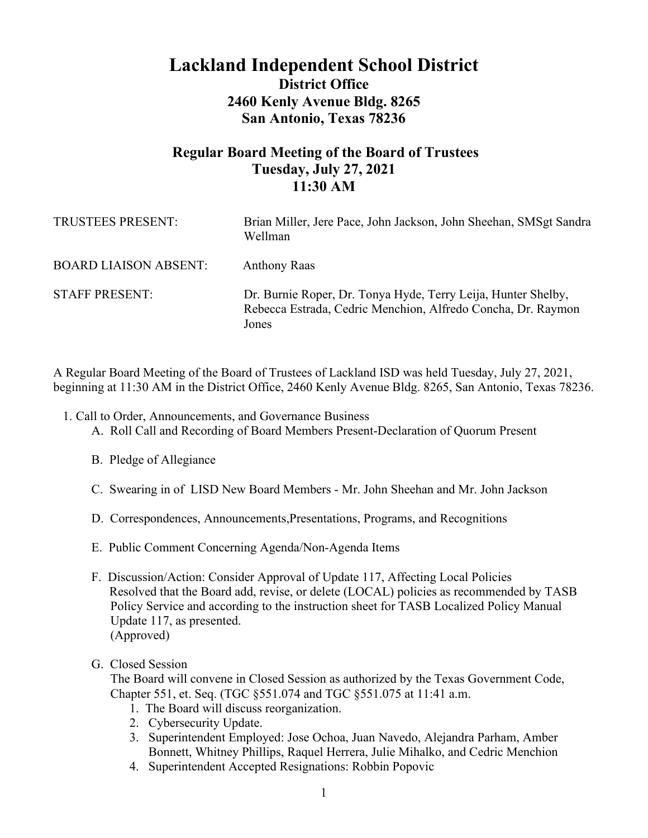# **Lackland Independent School District District Office 2460 Kenly Avenue Bldg. 8265 San Antonio, Texas 78236**

# **Regular Board Meeting of the Board of Trustees Tuesday, July 27, 2021 11:30 AM**

| TRUSTEES PRESENT:            | Brian Miller, Jere Pace, John Jackson, John Sheehan, SMSgt Sandra<br>Wellman                                                           |
|------------------------------|----------------------------------------------------------------------------------------------------------------------------------------|
| <b>BOARD LIAISON ABSENT:</b> | <b>Anthony Raas</b>                                                                                                                    |
| <b>STAFF PRESENT:</b>        | Dr. Burnie Roper, Dr. Tonya Hyde, Terry Leija, Hunter Shelby,<br>Rebecca Estrada, Cedric Menchion, Alfredo Concha, Dr. Raymon<br>Jones |

A Regular Board Meeting of the Board of Trustees of Lackland ISD was held Tuesday, July 27, 2021, beginning at 11:30 AM in the District Office, 2460 Kenly Avenue Bldg. 8265, San Antonio, Texas 78236.

- 1. Call to Order, Announcements, and Governance Business
	- A. Roll Call and Recording of Board Members Present-Declaration of Quorum Present
	- B. Pledge of Allegiance
	- C. Swearing in of LISD New Board Members Mr. John Sheehan and Mr. John Jackson
	- D. Correspondences, Announcements,Presentations, Programs, and Recognitions
	- E. Public Comment Concerning Agenda/Non-Agenda Items
	- F. Discussion/Action: Consider Approval of Update 117, Affecting Local Policies Resolved that the Board add, revise, or delete (LOCAL) policies as recommended by TASB Policy Service and according to the instruction sheet for TASB Localized Policy Manual Update 117, as presented. (Approved)
	- G. Closed Session

The Board will convene in Closed Session as authorized by the Texas Government Code, Chapter 551, et. Seq. (TGC §551.074 and TGC §551.075 at 11:41 a.m.

- 1. The Board will discuss reorganization.
- 2. Cybersecurity Update.
- 3. Superintendent Employed: Jose Ochoa, Juan Navedo, Alejandra Parham, Amber Bonnett, Whitney Phillips, Raquel Herrera, Julie Mihalko, and Cedric Menchion
- 4. Superintendent Accepted Resignations: Robbin Popovic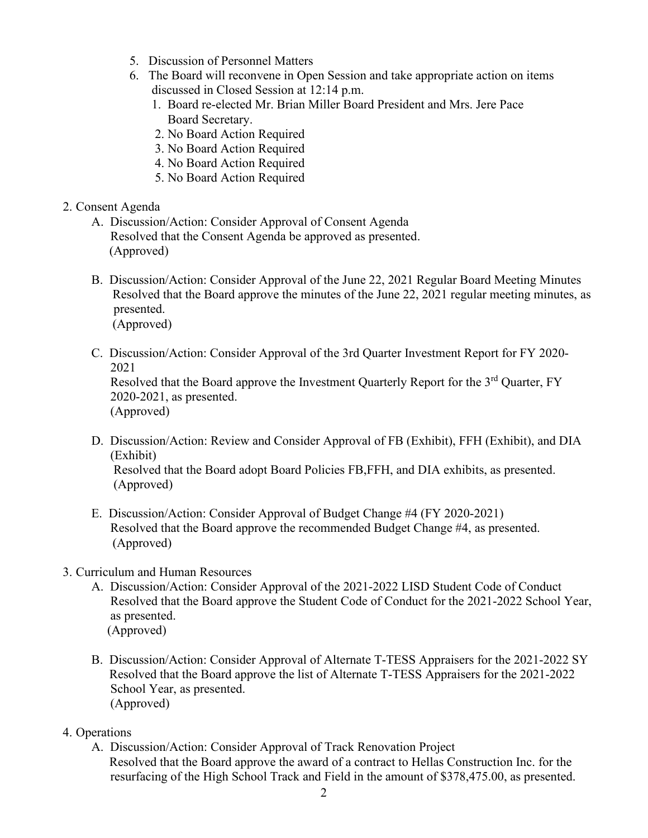- 5. Discussion of Personnel Matters
- 6. The Board will reconvene in Open Session and take appropriate action on items discussed in Closed Session at 12:14 p.m.
	- 1. Board re-elected Mr. Brian Miller Board President and Mrs. Jere Pace Board Secretary.
	- 2. No Board Action Required
	- 3. No Board Action Required
	- 4. No Board Action Required
	- 5. No Board Action Required

## 2. Consent Agenda

- A. Discussion/Action: Consider Approval of Consent Agenda Resolved that the Consent Agenda be approved as presented. (Approved)
- B. Discussion/Action: Consider Approval of the June 22, 2021 Regular Board Meeting Minutes Resolved that the Board approve the minutes of the June 22, 2021 regular meeting minutes, as presented. (Approved)
- C. Discussion/Action: Consider Approval of the 3rd Quarter Investment Report for FY 2020- 2021

Resolved that the Board approve the Investment Quarterly Report for the 3<sup>rd</sup> Quarter, FY 2020-2021, as presented. (Approved)

D. Discussion/Action: Review and Consider Approval of FB (Exhibit), FFH (Exhibit), and DIA (Exhibit)

 Resolved that the Board adopt Board Policies FB,FFH, and DIA exhibits, as presented. (Approved)

- E. Discussion/Action: Consider Approval of Budget Change #4 (FY 2020-2021) Resolved that the Board approve the recommended Budget Change #4, as presented. (Approved)
- 3. Curriculum and Human Resources
	- A. Discussion/Action: Consider Approval of the 2021-2022 LISD Student Code of Conduct Resolved that the Board approve the Student Code of Conduct for the 2021-2022 School Year, as presented. (Approved)
		-
	- B. Discussion/Action: Consider Approval of Alternate T-TESS Appraisers for the 2021-2022 SY Resolved that the Board approve the list of Alternate T-TESS Appraisers for the 2021-2022 School Year, as presented. (Approved)
- 4. Operations
	- A. Discussion/Action: Consider Approval of Track Renovation Project Resolved that the Board approve the award of a contract to Hellas Construction Inc. for the resurfacing of the High School Track and Field in the amount of \$378,475.00, as presented.